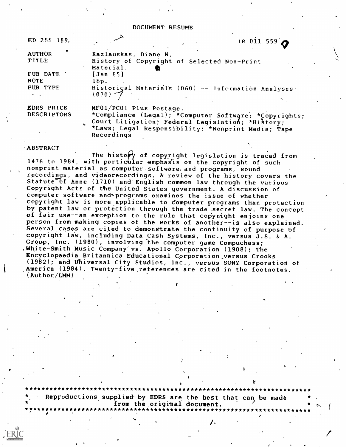DOCUMENT RESUME

| ED 255 189.        |                                                                                                           | IR 011 559 |  |
|--------------------|-----------------------------------------------------------------------------------------------------------|------------|--|
| <b>AUTHOR</b>      | Kazlauskas, Diane W.                                                                                      |            |  |
| TITLE              | History of Copyright of Selected Non-Print                                                                |            |  |
|                    | Material.                                                                                                 |            |  |
| PUB DATE           | [Jan 85]                                                                                                  |            |  |
| <b>NOTE</b>        | 18p.                                                                                                      |            |  |
| PUB TYPE           | Historical Materials (060) -- Information Analyses<br>(070)                                               |            |  |
|                    |                                                                                                           |            |  |
| EDRS PRICE         | MF01/PC01 Plus Postage.                                                                                   |            |  |
| <b>DESCRIPTORS</b> | *Compliance (Legal); *Computer Software; *Copyrights;<br>Court Litigation; Federal Legislation; *History; |            |  |
|                    |                                                                                                           |            |  |
|                    | *Laws; Legal Responsibility; *Nonprint Media; Tape                                                        |            |  |

Recordings

#### **ABSTRACT**

The history of copyright legislation is traced from 1476 to 1984, with particular emphasis on the copyright of such nonprint material as computer software and programs, sound recordings, and videorecordings. A review of the history covers the Statute of Anne (1710) and English common law through the various Copyright Acts of the United States government. A discussion of computer software and programs examines the issue of whether copyright law is more applicable to computer programs than protection by patent law or protection through the trade secret law. The concept of fair use--an exception to the rule that copyright enjoins one person from making copies of the works of another--is also explained. Several cases are cited to demonstrate the continuity of purpose of copyright law, including Data Cash Systems, Inc., versus J.S. & A. Group, Inc. (1980), involving the computer game Compuchess; White-Smith Music Company'vs. Apollo Corporation (1908); The Encyclopaedia Britannica Educational Corporation versus Crooks (1982); and Uhiversal City Studios, Inc., versus SONY Corporation of America (1984). Twenty-five references are cited in the footnotes.  $(Author/LMM)$ 

Reproductions supplied by EDRS are the best that can be made from the original document. \*\*\*\*\*\*\*\*\*\*\*\*\*

\*\*\*\*\*\*\*\*\*\*\*\*\*\*\*

7.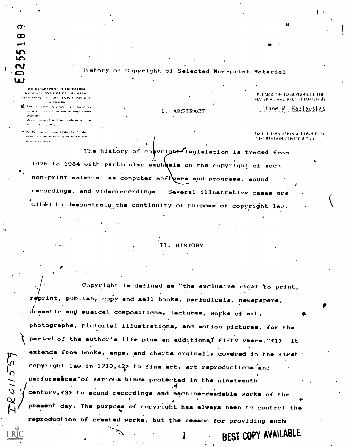$\sigma \cdot$  $\boldsymbol{\infty}$ 5 20

101155

US DEPARTMENT OF EDUCATION NATIONAL INSTITUTE OF EDUCATION **EDUCATIONAL BESOURCES INFORMATION**  $-11$  N II H  $+0.01$ **K** This document has been reproduced as

received from the person to sugarization monitorboxed Major changes have been made to mining and making to an incomplete

. Points of case of customers stated of this during ownt do not on essaidy represent official NH. position in policy

History of Copyright of Selected Non-print Material

I. ABSTRACT

PERMISSION TO REPRODUCE THIS MATERIAL HAS BEEN GRANTED BY Diane W. Kazlauskas

TO THE EDUCATIONAL RESOURCES INFORMATION CENTER (ERIC)

BEST COPY AVAILABLE

The history of conyright legislation is traced from 1476 to 1984 with particular emphasis on the copyright of such non-print material as computer software and programs, sound recordings, and videorecordings. Several illustrative cases are cited to demonstrate the continuity of purpose of copyright law.

II. HISTORY

Copyright is defined as "the exclusive right to print, reprint, publiah, copy and sall books, parrodicals, newspapers, dramatic and musical compositions, lectures, works of art, photographa, pictorial illustrationa, and motion pictures, for the period of the author's life plus an additional fifty years."<1> It extends from books, maps, and charts orginally covered in the first copyright law in 1710, <2> to fine art, art reproductions and performances of various kinds protected in the nineteenth century, <3> to sound recordings and machine-readable works of the present day. The purpose of copyright has always been to control the reproduction of created works, but the reason for providing auch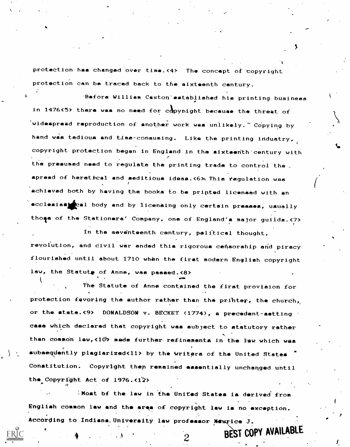protection has changed over time. <4> The concept of copyright protection can be traced back to the sixteenth century.

Before William Caxton' established his printing business in 1476(5) there was no need for copyright because the threat of wideapread reproduction of another work was unlikely. Copying by hand was tedious and time-consuming. Like the printing industry, copyright protection began in England in the aixteenth century with the presumed need to regulate the printing trade to control the. spread of heretical and seditious ideas. <6x This regulation was achieved both by having the books to be printed licensed with an ecclesias cal body and by licenaing only certain presses, usually those of the Stationers' Company, one of England's major guilds. < 7>

In the seventeenth century, political thought, revolution, and civil war ended this rigorous censorship and piracy flourished until about 1710 when the first modern English copyright law, the Statute of Anne, was passed. < 8>

The Statute of Anne contained the first provision for protection favoring the author rather than the printer, the church, or the state.<9> DONALDSON v. BECKET (1774), a precedent-setting case which declared that copyright was subject to statutory rather than common law, <10>>>>>> made further refinements in the law which was subsequently plagiarized<11> by the Writers of the United States Constitution. Copyright then remained essentially unchanged until the Copyright Act of 1976.<12>

Moat bf the law in the United States is derived from English common law and the area of copyright law is no exception. According to Indiana, University law professor Maurice J.

 $2$  DC

BEST COPY AVAILABLE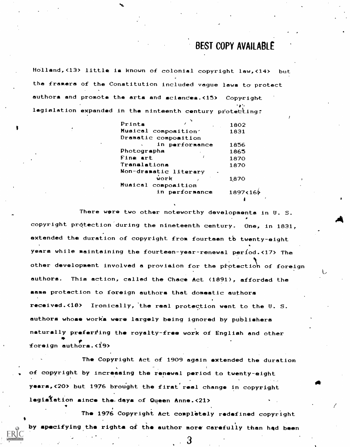Ho'lland,<13> little is known of colonial copyright law,<14> but the framers of the Constitution included vague laws to- protect authors and promote the arts and sciendes. <15> Copyright legislation expanded in the ninteenth century protetting:

st.

| Printa                | 1802               |  |  |
|-----------------------|--------------------|--|--|
| Musical composition   | 1831               |  |  |
| Dramatic composition  |                    |  |  |
| in performance        | 1856               |  |  |
| Photographa           | 1865               |  |  |
| Fine art<br>I         | 1870               |  |  |
| Tranalationa          | 1870               |  |  |
| Non-dramatic literary |                    |  |  |
| work                  | 1870               |  |  |
| Musical composition   |                    |  |  |
| in performance        | 1897 <sub>16</sub> |  |  |
|                       |                    |  |  |

There were two other noteworthy developments in U. S. copyright protection during the nineteenth century. One, in 1831, extended the duration of copyright from fourteen to twenty-eight years while maintaining the fourteen-year-renewal period.<17> The other development involved a provision for the protection of foreign authors. This action, called the Chace Act (1891), afforded the same protection to foreign authors that domestic authors received.<18> Ironically, 'the real protection went to the U. S. authors whose works were largely being ignored by publishers naturally preferring the royalty-free work of English and other foreign authors. $\langle 19 \rangle$ 

The Copyright Act of 1909 again extended the duration of copyright by increasing the renewal period to twenty-eight years, <20> but 1976 brought the first real change in copyright legistation since the-days of Queen Anne.<21>

 $\ddot{\bullet}$  and  $\ddot{\bullet}$ The 1976 Copyright Act completely redefined copyright by specifying the rights of the author more carefully than had been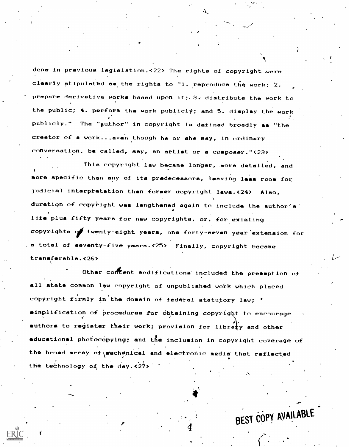done in previous legislation.<22> The rights of copyright were clearly atipulated am the rights to "1. reproduce the work; 2. prepare derivative works based upon it; 3. distribute the work to the public; 4. perform the work publicly; and 5. display the work publicly." The "suthor" in copyright is defined broadly as "the creator of a work...even though he or she may, in ordinary conversation, be called, may, an artist or a compoaer."<23,

This copyright law became longer, more detailed, and more specific than any of its predecessors, leaving less room for judicial intorptetation than former copyright lawa.<24> Also, duration of copyright was lengthened again to include the author's' life plum fifty years for new copyrights, or, for existing. copyrights of twenty-eight years, one forty-seven year extension for a total of seventy-five years. < 25> Finally, copyright became transferable.(26)

Other content modifications included the preemption of all state common 14w copyright of unpublished work which placed copyright firmly in the domain of federal statutory law;  $+$ simplification of procedures for obtaining copyright to encourage authors to register their work; provision for library and other educational photocopying; and the inclusion in copyright coverage of the broad array of wechanical and electronic media that reflected  $\blacksquare$ the technology of the day.  $\langle 2 \rangle$ )

# BEST COPY AVAIL

 $\bullet$  4  $\bullet$  4  $\bullet$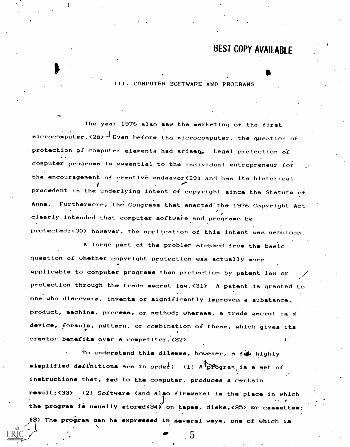III. COMPUTER SOFTWARE AND PROGRAMS

The year 1976 also saw the marketing of the first microcomputer. <28> $J$ Even before the microcomputer, the question of protection of computer elements had arisen  $\mathbf{r}$  Legal protection of computer programs is essential to the individual entrepreneur for the encouragement of creative endeavor<29> and has its historical precedent in the underlying intent of copyright since the Statute of Anne. Furthermore, the Congress that enacted"the 1976 Copyright Act clearly intended that computer software and programs be protected;<30> however', the application of this intent was nebulous.

A large part of the problem stemmed from the basic question of whether copyright protection was actually more applicable to computer programs than protection by patent law or protection through the trade secret law. < 31> A patent is granted to one who discovers, invents or significantly improves a substance, product, machine, process, or method; whereas, a trade secret is a device, formula, pattern, or combination of these, which gives its  $\mathcal{L}$  and  $\mathcal{L}$ creator benefits over a competitor.<32>

To understand this dilemma, however, a faw highly aimplified definitions are in order:  $(1)$  A program is a set of instructions that, fed to the computer, producea a certain result;<33> (2) Software (and also firmware) is the place in which ,. the program is usually atored<34 $\chi$  on tapes, disks,<35> or cassettes;  $(4)$  The program can be expressed in several ways, one of which is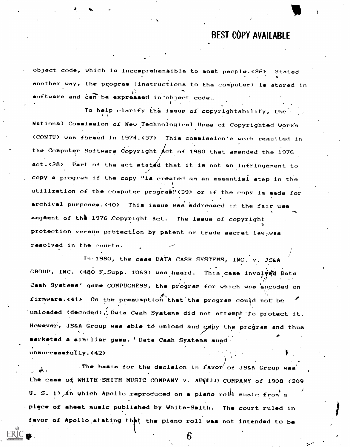object code, which is incomprehenaible to most people.< 36> Stated another way, the program (instructions to the computer) is stored in  $\sim$ aoftware and can be expressed in object code.

To help clarify the issue of copyrightability, the National Commission of New Technological Uses of Copyrighted Works (CONTU) was formed in 1974.<37> This commission's work resulted in the Computer Software Copyright  $\measuredangle$ ct of 1980 that amended the 1976 act.  $(38)$  Part of the act stated that it is not an infringement to copy a program if the copy "is created as an essential step in the utilization of the computer program; < 39> or if the copy is made for archival purposes.<40> This issue was addressed in the fair use aegment of the 1976 Copyright Act. The issue of copyright  $\mathbf{w}$  and  $\mathbf{w}$ protection versus protection by patent or trade secret law, was resolved in the courts.

In 1980, the case DATA CASH SYSTEMS, INC. v. JS&A GROUP, INC. (480 F.Supp. 1063) was heard. This case involved Data Cash Systems' game COMPUCHESS, the program for which was encoded on firmware.<41> On the presumption that the program could not' be unloaded (decoded), Data Cash Systems did not attempt'to protect it. However, JS&A Group was able to unload and goby the program and thus  $\mathbf{e}^{\mathbf{e}}$  and  $\mathbf{e}^{\mathbf{e}}$  and  $\mathbf{e}^{\mathbf{e}}$  and  $\mathbf{e}^{\mathbf{e}}$  and  $\mathbf{e}^{\mathbf{e}}$ marketed a aimiliar game. ' Data Cash Systems sued unsuccessfu2 ly.<42>

The basis for the decision in favor of JS&A Group was the case of WHITE-SMITH MUSIC COMPANY v. APOLLO COMPANY of 1908 (209 U. S. 1)  $\Lambda$ n which Apollo reproduced on a piano roll music from a piece of sheet music published by White-Smith. The court ruled in favor of Apollo stating that the piano roll was not intended to be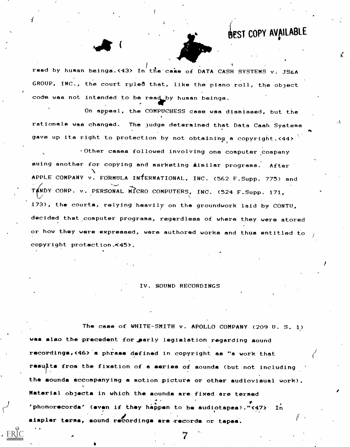$\mathcal{A}$  and  $\mathcal{A}$  are the set of  $\mathcal{A}$ read by human beinga.<43> In the case of DATA CASH SYSTEMS v. JS&A GROUP, INC., the court ruled that, like the piano roll, the object code was not intended to be read by human beings.

On appeal, the COMPUCHESS case was dismissed, but the rationale was changed. The judge determined that Data Cash Systems gave up its right to protection by not obtaining a copyright. <44>

0ther cases followed involving one computer company auing another for copying and marketing aimilar programs. After  $\mathcal{F}$ APPLE COMPANY v. FORMULA INTERNATIONAL, INC. (562 F.Supp. 775) end  $T$ (NDY CORP. v. PERSONAL MICRO COMPUTERS, INC. (524 F. Supp. 171, 173), the courts, relying heavily on the groundwork laid by CONTU, decided that computer programs, regardless of where they were stored or how they were expressed, were authored works and thus entitled to copyright protection.X45>.

### IV. SOUND RECORDINGS

The case of WHITE-SMITH v. APOLLO COMPANY (209 U. S. 1) was also the precedent for parly legislation regarding sound recordings, <46> a phrase defined in copyright as "a work that reaults from the fixation of a series of sounds (but not including the sounds accompanying a motion picture or other audiovisual work). Material objects in which the sounds are fixed are termed r phonorecords' (even if they heppen to be audiotapes)."<47> In simpler terms, sound recordings are records or tapes.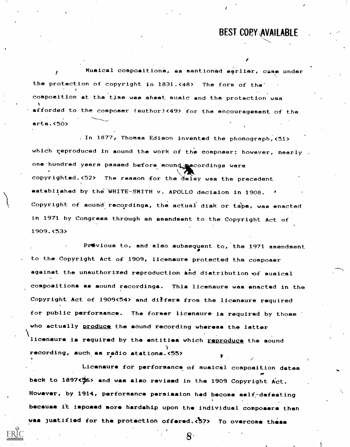Musical compositions, as mentioned eerlier, came under the protection of copyright in 1831.<48> The form of the' composition at the time was sheet muaic and the protection was afforded to the composer (author)<49> for the encouragement of the arts.<50>

. In 1877, Thomas Edison invented the phonograph, <51> which reproduced in sound the work of the composer; however, nearly . one hundred years passed before sound necordings were copyrighted.<52> The reason for the delay was the precedent established by the WHITE-SMITH v. APOLLO decision in 1908. Copyright of aound recordings, the actual disk or tape, was enacted in 1971 by Congress through an amendment to the Copyright Act of 1909.<53>

Prévious to, and also subsequent to, the 1971 amendment . to the Copyright Act of 1909, licensure protected the composer against the unauthorized reproduction and distribution of musical compositions as sound recordings. This licensure was enacted in the Copyright Act of 1909<54> and differs from the licensure required for public performance. The former licensure is required by those ' who actually produce the sound recording whereas the latter licensure is required by the entities which reproduce the sound .<br>1557 recording, auch as radio stations.  $\mathbf{v}$  and  $\mathbf{v}$ 

Licenaure for performance of musical composition dates mt. back to 1897<\$6> and was also revised in the 1909 Copyright Act. However, by 1914, performance permission had become self-defeating because it imposed more hardship upon the individual composers than was justified for the protection offered. < 57> To overcome these

 $8^\prime$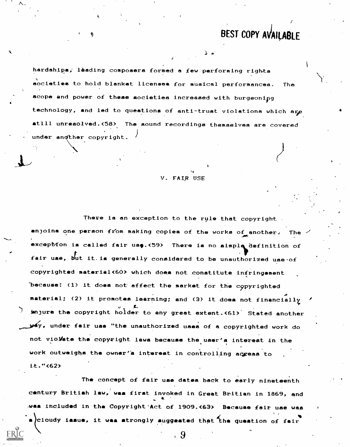hardships, leading composers formed a few performing rights societies to hold blanket licenses for musical performances. The scope and power of these societies increased with burgeonipg technology, and led to questions of anti-trust violations which are atill unresolved.<58> The sound recordings themselves are covered under an $\phi$ ther copyright.

r

 $\mathcal{L}$ 

V. FAIR USE

 $\mathcal{F}$ 

There is an exception to the rule that copyright enjoins one person from making copies of the works of enother. The  $$ except/on is called fair use.< 59> There is no aimple definition of fair use, but it is generally considered to be unauthorized use of copyrighted material<60> which does not constitute infringement "because: (1) it does not affect the market for the copyrighted material; (2) it promotes learning; and (3) it does not financially ) imjure the copyright holder to any great extent.  $61$ ) Stated another yay, under fair use "the unauthorized uses of a copyrighted work do not vioVate the copyright laws because the user's interest in the work outweighs the owner's interest in controlling access to it. "<62>

The concept of fair use dates back to early nineteenth century British law, was first invoked in Great Britian in 1869, and was included in the Copyright Act of 1909.<63> Because fair use was  $\int$ cloudy issue, it was strongly suggested that the question of fair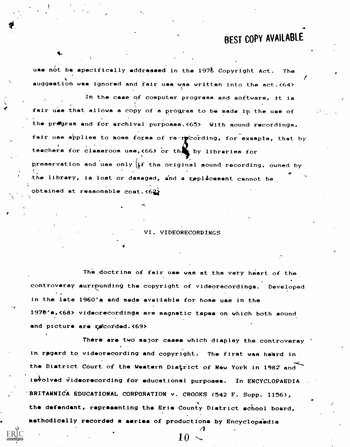use not be specifically addressed in the 1976 Copyright Act. The suggestion was ignored and fair use vas written into the act.<64>

 $\bullet$  . The set of  $\bullet$ 

In the case of computer programs and software, it is fair use that allows a copy of a program to be made in the use of the pregram and for archival purposes. < 65> With sound recordings, fair use applies to some forms of re-recording, for example, that by teachers for classroom use, <66> or the by libraries for preservation and use only  $\sharp f$  the original sound recording, owned by the library, is lost or damaged, and a replacement cannot be  $obtained$  at reasonable coat.  $622$  $\bullet$   $\bullet$   $\bullet$ 

 $\tilde{}$ 

 $\phi$  and  $\phi$ 

VI. VIDEORECORDINGS

The doctrine of fair use was at the very heart of the controversy surrpunding the copyright of videorecordings. Developed in the late 1960's and made available for home use in the 1970's, <68> videorecordings are magnetic tapes on which both sound and picture are tecorded.<69>

There are two major cases which diaplay the controversy in regard to videorecording and copyright. The first was heard in the District Court of the Western District of New York in 1982 and ip4olved videorecording for educational purposes. In ENCYCLOPAEDIA BRITANNICA EDUCATIONAL CORPORATION v. CROOKS (542 F. Supp. 1156), the defendant, representing the Erie County District school board, methodically recorded a series of productions by Encyclopaedia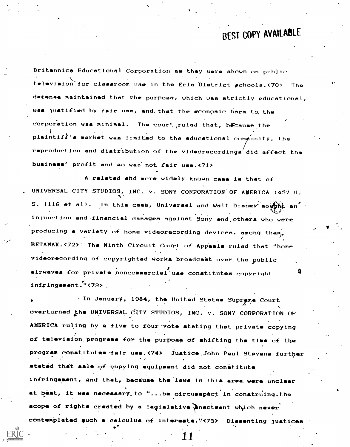Britannica Educational Corporation as- they were shown on public television for classroom use in the Erie District pchoola.<70> The defense maintained that the purpose, which wan strictly educational, was justified by fair use, and that the economic harm to the corporation was minimal. The court ruled that, because the plaintiff's market was limited to the educational community, the reproduction and diatribution of the videorecordings did affect the business' profit and so was not fair use.<71).

A related and more widely known case is that of UNIVERSAL CITY STUDIOS, INC. v. SONY CORPORATION'OF AMERICA (457 U. S. 1116 et al). In this case, Universal and Walt Disney sought injunction and financial damages against Sony and,othera who were producing a variety of home videorecording devices, among them, BETAMAX. <72>>The Ninth Circuit Court of Appeals ruled that "home videorecording of copyrighted Works broadcest over the public airwaves for private noncommercial'use constitutes copyright  $\qquad \qquad \qquad \bullet$ infringement . "<73> a a shekarar 1980

. In January, 1984, the United States Supreme Court overturned the UNIVERSAL dITY STUDIOS, INC. v. SONY CORPORATION OF AMERICA ruling by a five to four vote atating that private copying of television programs for the purpose of shifting the time of the program constitutes-fair use.<74> Juatice,John Paul Stevens further atated that sale of copying equipment did not conatitute, infringemant, and that, because the'lswa in this are& were unclear at beat, it was necessary to "...be circumspect in construing.the acope of rights created by a legislative enactment which never contemplated such a calculus of interests."<75> Dissenting justices

Full Text Provided by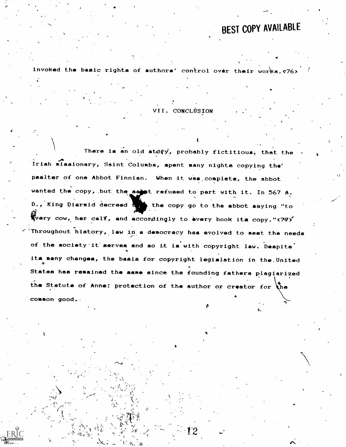There is an old atory, probably fictitious, that the Irish missionary, Saint Columba, spent many nights copying the' paalter of one Abbot Finnian. When it was complete, the abbot wanted the copy, but the asset refused to part with it. In 567 A. D., King Diarmid decreed by the copy go to the abbot saying "to w<br>Wwery cow, her calf, and accordingly to every book its copy."<79> Throughout history, law in a democracy has evolved to meet the needs of the society it serves and so it is with copyright law. Despite' ita many changes, the basis for copyright legislation in the United States has remained the same since the founding fathers plagiarized the Statute of Anne: protection of the author or creator for the common good.

invoked the basic rights of authors' control over their works. 076

VII. CONCLUSION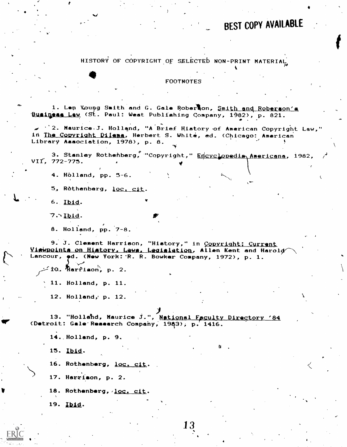## HISTORY OF COPYRIGHT OF SELECTED NON-PRINT MATERIAL

#### FOOTNOTES

1. Len Young Smith and G. Gale Roberton, Smith and Roberson's Business Lew (St. Paul: West Publishing Company, 1982), p. 821.

- '2. Maurice.J. Holland, "A Brief History of American Copyright Law," in The Convright Dilema, Herbert S. White, ed. (Chicago: American Library Association, 1978), p. 8.

3. Stanley Rothenberg, "Copyright," Encyclopedia Americana, 1982, VII, 772-775.

4. Holland, pp. 5-6.

5, Rothenberg, loc. cit.

6. Ibid.

 $7.$  Ibid.

8. Holland, pp. 7-8.

9. J. Clement Harrison, "History," in Copyright; Current Viewpoints on History, Laws, Legislation, Allen Kent and Harold Lancour, ed. (New York: R. R. Bowker Company, 1972), p. 1.

 $\angle$ 10. Harrison, p. 2.

 $11.$  Holland, p. 11.

12. Holland, p. 12.

### 13. "Holland, Maurice J.", National Faculty Directory '84 (Detroit: Gale Research Company, 1983), p. 1416.

14. Holland, p. 9.

15. Ibid.

16. Rothenberg, log. cit.

17. Harrison, p. 2.

18. Rothenberg, loc. cit.

19. Ibid.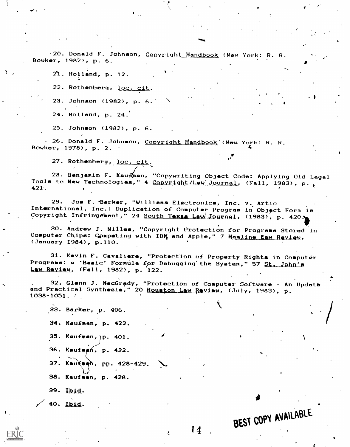20. Donald F. Johnson, Copyright Handbook (New York: R. R. Bowker, 1982), p. 6.

21. Holland, p. 12.

22. Rothenberg, log, cit.

23. Johnson (1982), p. 6.

24. Holland, p.  $24.'$ 

25. Johnmon (1982), p. 6.

. 26. Donald F. Johnmon, Copyright Handbook (New York: R. R. Bowker, 1978), p. 2.

27. Rothenberg, loc. cit.

28. Benjamin F. Kaufman, "Copywriting Object Code: Applying Old Legal Tools to New Technologies, "4 Copyright/Law Journal, (Fall, 1983), p.  $421.$ 

Joe F. Barker, "Williams Electronics, Inc. v. Artic 29. International, Inc.: Duplication of Computer Program in Object Form is Copyright Infringement, " 24 South Texes Law Journal, (1983), p. 420.

30. Andrew J. Nilles, "Copyright Protection for Programs Stored in Computer Chips: Competing with IBM and Apple," 7 Hamling Eaw Review, (January 1984), p.110.

31. Kevin F. Cavaliere, "Protection of Property Righta in Computer Programm: a 'Bamic' Formula for Debugging' the System," 57 St. John's Law Raviaw, (Fall, 1982), p. 122.

32. Glenn J. MacGrady, "Protection of Computer Software - An Update and Practical Synthesis," 20 Houston Law Review, (July, 1983), p.  $1038 - 1051.$ 

 $14$ 

33. Barker, p. 406, 34. Kaufman, p. 422. 35. Kaufman, p. 401. 36. Kaufman, p. 432. 37. Kaufmah, pp. 428-429. 38. Kaufman, p. 428. 39. Ibid.  $\angle$  40. Ibid.

BEST COPY AVAILABLE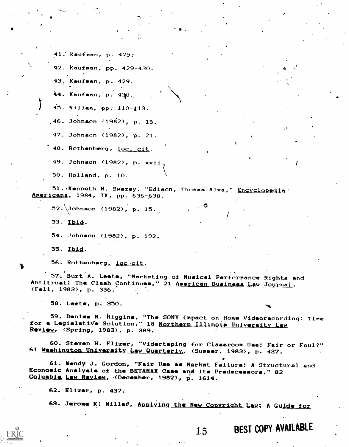41: Kaufman, p. 429: 42. kaufman, pp. 429-430. 43. Kaufman, p. 429. 44. Kaufman, p. 430. 45. Nillea, pp. 110-113. .46. Johnson (1962), p. 15. 47. Johnson (1982), p. 21. 48. Rothenberg, loc. cit. 49. Johnson (1982), p. xvii., 50. Holland, p. 10.

51. Kenneth M. Swezey, "Edison, Thomas Alva," Encyclopedia'<br>Americana, 1984, IX, pp. 636-638.

52.\Johnaon (1982), p. 15.

 $53.$  Ibid.

54. Johnson (1982), p. 192.

55. Ibid.

56. Rothenberg, loc.cit.

57. Burt A. Leete, "Marketing of Musical Performance Rights and<br>Antitrust: The Clash Continues," 21 American Buainess Law Journal, (Fall, 1983), p. 336.

58. Leete, p. 350.

59. Denise M. Higgins, "The SONY Impact on Home Videorecording: Time for a Legislative Solution," 18 Northern Illinois University Law Review, (Spring, 1983), p. 389.

60. Steven H. Elizer, "Vidertsping for Classroom Use: Fair or Foul?" 61 Washington University Lew Quarterly, (Summer, 1983), p. 437.

61. Wendy J. Gordon, "Fair Use as Market Failure: A Structural and Economic Analysis of the BETAMAX Case and its Predecessors," 82 Columbia Low Review, -(Dacomber, 1982), p. 1614..

62. Elizer, p. 437.

63. Jarome K: Miller, Applying the New Copyright Lew: A Guide for

# 1.5 BEST COPY AVAILABLE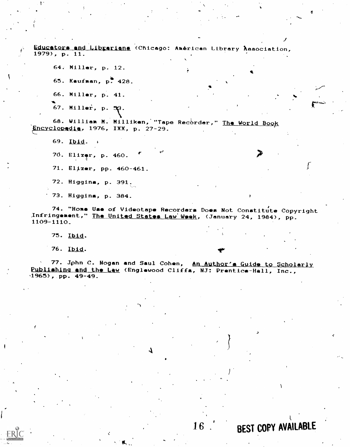Educators and Librarians (Chicago: American Library Association, 1979), p. 11.

**41 11 11 11 11 11 11 11 11** 

64. Miller, p. 12.

65. Kaufman, p.<sup>4</sup> 428.

66. Miller, p. 41.

67. Miller, p.

68. William M. Milliken, "Tape Recorder," The World Book<br>Encyclopedia, 1976, IXX, p. 27-29.

1'

69. Ibid.

70. Elizer, p. 460. <sup>7</sup>

71. Elizer, pp. 460-461.

72. Higgins, p. 391.

73. Higgins, p. 384.

74. "Home Use of Videotape Recorders Does Not Constitute Copyright Infringement," The United States Law Week, (January 24, 1984), pp.

75. Ibid,

76. Ib4d.

**I** and the second

77. John C. Hogan and Saul Cohen, An Author's Guide to Scholarly Publishing and the Law (Englewood Cliffs, NJ: Prentice-Hall, Inc.,  $-1965$ ), pp. 49-49.

 $\overline{a}$ 

J

 $\frac{1}{4}$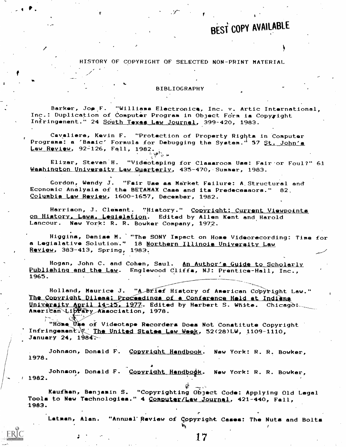### HISTORY OF COPYRIGHT OF SELECTED NON-PRINT MATERIAL

#### **BIBLIOGRAPHY**

Barker, Jog F. "Williams Electronica, Inc. v. Artic International, Inc.: Duplication of Computer Program in Object Form is Copyright Infringenent." 24 South Texas Law Journal, 399-420, 1983.

Cavaliera, Kevin F. "Protection of Property Rights in Computer Programa: a 'Baaic' Formula for Debugging the System." 57 St. John's Law Review, 92-126, Fall, 1982.

Elizar, Stevan H. "Videotaping for Classroom Use: Fair or Foul?" 61 Washington University Law Quarterly, 435-470, Summer, 1983.

Gordon, Wendy J. "Fair Use as Market Failure: A Structural and Economic Analysis of the BETAMAX Case and its Predecessors." 82. Columbia Law Review, 1600-1657, December, 1982.

Harrison, J. Clement. "History." Copyright: Current Viewpoints on History, Laws, Legislation. Edited by Allen Kent and Harold Lancour. New York: R. R. Bowker Company, 1972.

Higgins, Denise M. '"The SONY Impact on Home Videorecording: Time for a Legislative Solution." 18 Northern Illinois University Law Review, 383-413, Spring, 1983.

Hogan, John C. and Cohen, Saul. An Author's Guide to Scholarly Publishing and the Law. Englewood Cliffa, NJ: Prentice-Hall, Inc., 1965.

Holland, Maurice J. "A Brief History of American Copyright Law." The Copyright Dilema: Proceedings of a Conference Held at Indiana University April 14-15. 1977. Edited by Herbert S. White. Chicago: American Library Association, 1978.

"Home Une of Videotape Recorders Does Not Constitute Copyright Infringement. The United States Law Week, 52(28)LW, 1109-1110, January 24,  $1984$ .

Johnson, Donald F. Copyright Handbook. New York: R. R. Bowker, 1978.

Johnson, Donald F. Copyright Handbock. New York: R. R. Bowker, 1982.

Kaufhan, Benjamin S. "Copyrighting Object Code: Applying Old Legal Tools to New Technologies." 4 Computer/Law Journal, 421-440, Fall, 1983.

Latman, Alan. "Annual Review of Copyright Cases: The Nuts and Bolts